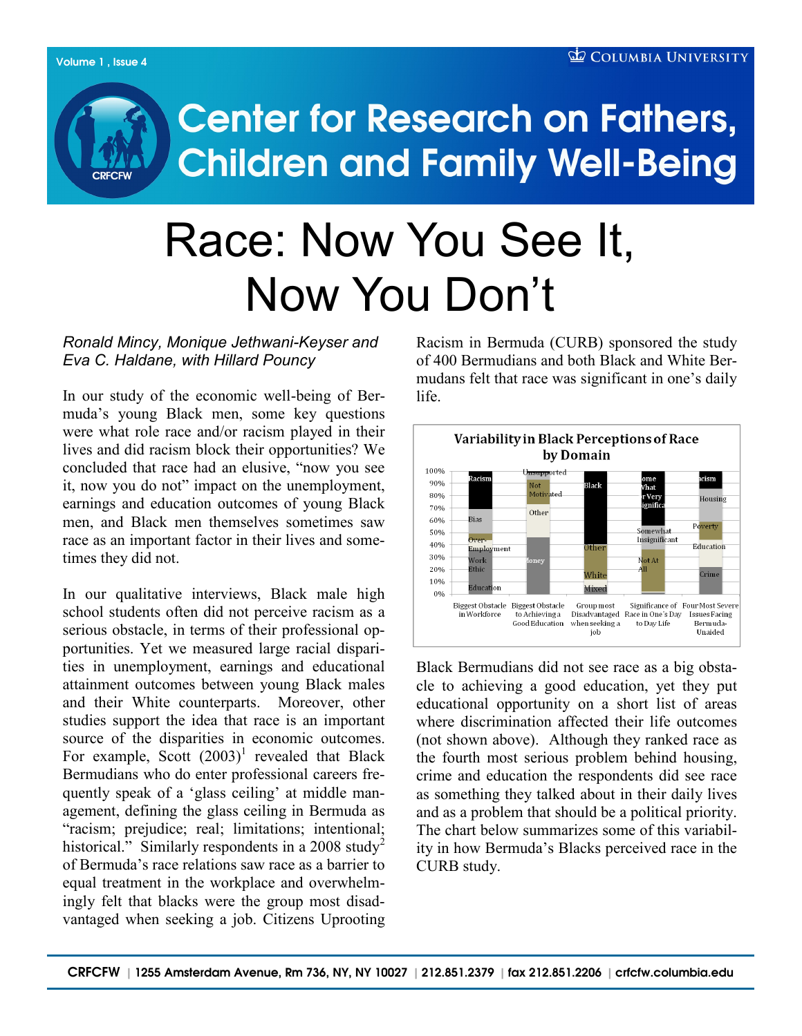## **Center for Research on Fathers, Children and Family Well-Being**

# Race: Now You See It, Now You Don't

## *Ronald Mincy, Monique Jethwani-Keyser and Eva C. Haldane, with Hillard Pouncy*

In our study of the economic well-being of Bermuda"s young Black men, some key questions were what role race and/or racism played in their lives and did racism block their opportunities? We concluded that race had an elusive, "now you see it, now you do not" impact on the unemployment, earnings and education outcomes of young Black men, and Black men themselves sometimes saw race as an important factor in their lives and sometimes they did not.

In our qualitative interviews, Black male high school students often did not perceive racism as a serious obstacle, in terms of their professional opportunities. Yet we measured large racial disparities in unemployment, earnings and educational attainment outcomes between young Black males and their White counterparts. Moreover, other studies support the idea that race is an important source of the disparities in economic outcomes. For example, Scott  $(2003)^1$  revealed that Black Bermudians who do enter professional careers frequently speak of a 'glass ceiling' at middle management, defining the glass ceiling in Bermuda as "racism; prejudice; real; limitations; intentional; historical." Similarly respondents in a 2008 study<sup>2</sup> of Bermuda"s race relations saw race as a barrier to equal treatment in the workplace and overwhelmingly felt that blacks were the group most disadvantaged when seeking a job. Citizens Uprooting

Racism in Bermuda (CURB) sponsored the study of 400 Bermudians and both Black and White Bermudans felt that race was significant in one's daily life.



Black Bermudians did not see race as a big obstacle to achieving a good education, yet they put educational opportunity on a short list of areas where discrimination affected their life outcomes (not shown above). Although they ranked race as the fourth most serious problem behind housing, crime and education the respondents did see race as something they talked about in their daily lives and as a problem that should be a political priority. The chart below summarizes some of this variability in how Bermuda"s Blacks perceived race in the CURB study.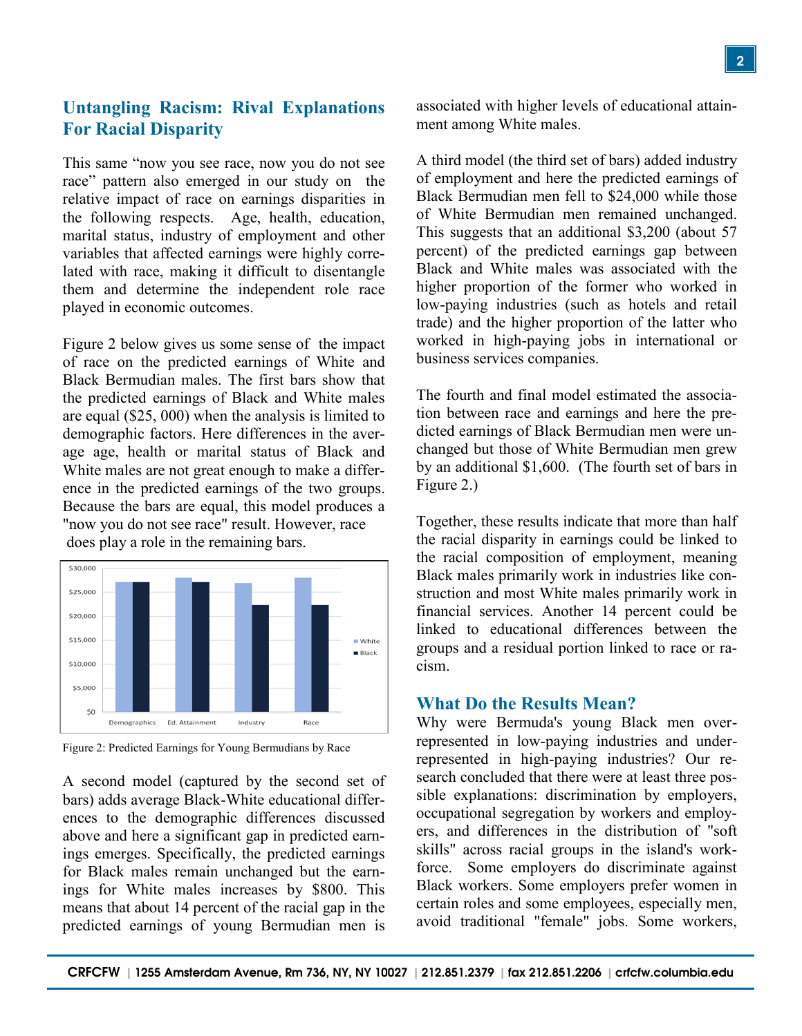## **Untangling Racism: Rival Explanations For Racial Disparity**

This same "now you see race, now you do not see race" pattern also emerged in our study on the relative impact of race on earnings disparities in the following respects. Age, health, education, marital status, industry of employment and other variables that affected earnings were highly correlated with race, making it difficult to disentangle them and determine the independent role race played in economic outcomes.

Figure 2 below gives us some sense of the impact of race on the predicted earnings of White and Black Bermudian males. The first bars show that the predicted earnings of Black and White males are equal (\$25, 000) when the analysis is limited to demographic factors. Here differences in the average age, health or marital status of Black and White males are not great enough to make a difference in the predicted earnings of the two groups. Because the bars are equal, this model produces a "now you do not see race" result. However, race

does play a role in the remaining bars.



Figure 2: Predicted Earnings for Young Bermudians by Race

A second model (captured by the second set of bars) adds average Black-White educational differences to the demographic differences discussed above and here a significant gap in predicted earnings emerges. Specifically, the predicted earnings for Black males remain unchanged but the earnings for White males increases by \$800. This means that about 14 percent of the racial gap in the predicted earnings of young Bermudian men is associated with higher levels of educational attainment among White males.

A third model (the third set of bars) added industry of employment and here the predicted earnings of Black Bermudian men fell to \$24,000 while those of White Bermudian men remained unchanged. This suggests that an additional \$3,200 (about 57 percent) of the predicted earnings gap between Black and White males was associated with the higher proportion of the former who worked in low-paying industries (such as hotels and retail trade) and the higher proportion of the latter who worked in high-paying jobs in international or business services companies.

The fourth and final model estimated the association between race and earnings and here the predicted earnings of Black Bermudian men were unchanged but those of White Bermudian men grew by an additional \$1,600. (The fourth set of bars in Figure 2.)

Together, these results indicate that more than half the racial disparity in earnings could be linked to the racial composition of employment, meaning Black males primarily work in industries like construction and most White males primarily work in financial services. Another 14 percent could be linked to educational differences between the groups and a residual portion linked to race or racism.

#### **What Do the Results Mean?**

Why were Bermuda's young Black men overrepresented in low-paying industries and underrepresented in high-paying industries? Our research concluded that there were at least three possible explanations: discrimination by employers, occupational segregation by workers and employers, and differences in the distribution of "soft skills" across racial groups in the island's workforce. Some employers do discriminate against Black workers. Some employers prefer women in certain roles and some employees, especially men, avoid traditional "female" jobs. Some workers,